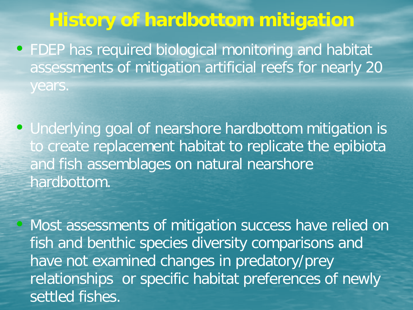## **History of hardbottom mitigation**

- FDEP has required biological monitoring and habitat assessments of mitigation artificial reefs for nearly 20 years.
- Underlying goal of nearshore hardbottom mitigation is to create replacement habitat to replicate the epibiota and fish assemblages on natural nearshore hardbottom.
	- Most assessments of mitigation success have relied on fish and benthic species diversity comparisons and have not examined changes in predatory/prey relationships or specific habitat preferences of newly settled fishes.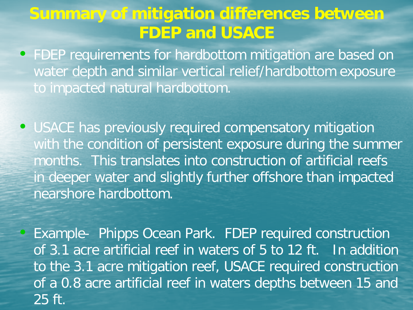## **Summary of mitigation differences between FDEP and USACE**

- FDEP requirements for hardbottom mitigation are based on water depth and similar vertical relief/hardbottom exposure to impacted natural hardbottom.
- USACE has previously required compensatory mitigation with the condition of persistent exposure during the summer months. This translates into construction of artificial reefs in deeper water and slightly further offshore than impacted nearshore hardbottom.

• Example- Phipps Ocean Park. FDEP required construction of 3.1 acre artificial reef in waters of 5 to 12 ft. In addition to the 3.1 acre mitigation reef, USACE required construction of a 0.8 acre artificial reef in waters depths between 15 and 25 ft.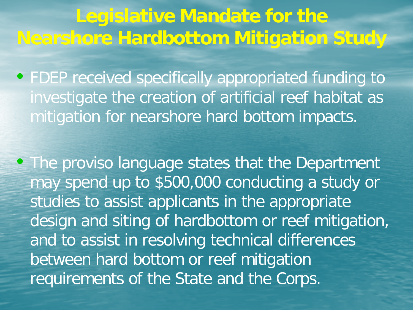**Legislative Mandate for the Nearshore Hardbottom Mitigation Study**

• FDEP received specifically appropriated funding to investigate the creation of artificial reef habitat as mitigation for nearshore hard bottom impacts.

• The proviso language states that the Department may spend up to \$500,000 conducting a study or studies to assist applicants in the appropriate design and siting of hardbottom or reef mitigation, and to assist in resolving technical differences between hard bottom or reef mitigation requirements of the State and the Corps.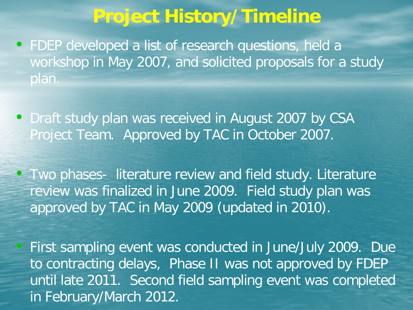## **Project History/Timeline**

- FDEP developed a list of research questions, held a workshop in May 2007, and solicited proposals for a study plan.
- Draft study plan was received in August 2007 by CSA Project Team. Approved by TAC in October 2007.
- Two phases- literature review and field study. Literature review was finalized in June 2009. Field study plan was approved by TAC in May 2009 (updated in 2010).

• First sampling event was conducted in June/July 2009. Due to contracting delays, Phase II was not approved by FDEP until late 2011. Second field sampling event was completed in February/March 2012.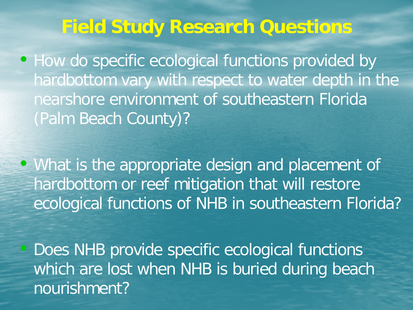# **Field Study Research Questions**

• How do specific ecological functions provided by hardbottom vary with respect to water depth in the nearshore environment of southeastern Florida (Palm Beach County)?

• What is the appropriate design and placement of hardbottom or reef mitigation that will restore ecological functions of NHB in southeastern Florida?

• Does NHB provide specific ecological functions which are lost when NHB is buried during beach nourishment?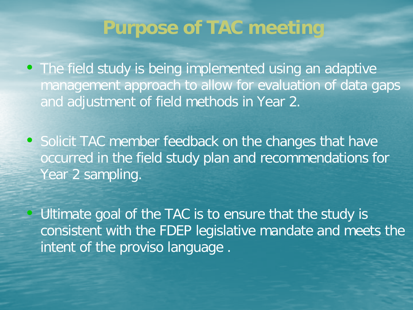## **Purpose of TAC meeting**

• The field study is being implemented using an adaptive management approach to allow for evaluation of data gaps and adjustment of field methods in Year 2.

• Solicit TAC member feedback on the changes that have occurred in the field study plan and recommendations for Year 2 sampling.

Ultimate goal of the TAC is to ensure that the study is consistent with the FDEP legislative mandate and meets the intent of the proviso language.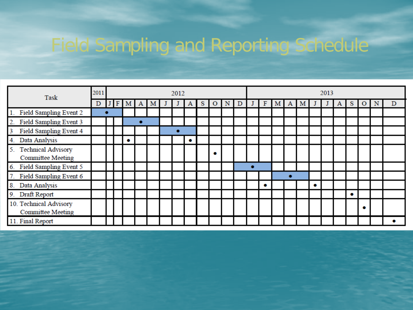# Field Sampling and Reporting Schedule

| Task                                                        | 2011 | 2012 |  |   |   |  |  |   |   |   |   | 2013 |  |   |   |   |   |   |  |   |           |  |  |   |
|-------------------------------------------------------------|------|------|--|---|---|--|--|---|---|---|---|------|--|---|---|---|---|---|--|---|-----------|--|--|---|
|                                                             | D    | F    |  | A | M |  |  | A | s | O | N | D    |  | F | М | A | M |   |  | A | S         |  |  | D |
| 1. Field Sampling Event 2                                   |      |      |  |   |   |  |  |   |   |   |   |      |  |   |   |   |   |   |  |   |           |  |  |   |
| 2. Field Sampling Event 3                                   |      |      |  |   |   |  |  |   |   |   |   |      |  |   |   |   |   |   |  |   |           |  |  |   |
| Field Sampling Event 4<br>3                                 |      |      |  |   |   |  |  |   |   |   |   |      |  |   |   |   |   |   |  |   |           |  |  |   |
| Data Analysis<br>4.                                         |      |      |  |   |   |  |  | ٠ |   |   |   |      |  |   |   |   |   |   |  |   |           |  |  |   |
| <b>Technical Advisory</b><br>5.<br><b>Committee Meeting</b> |      |      |  |   |   |  |  |   |   | ٠ |   |      |  |   |   |   |   |   |  |   |           |  |  |   |
| 6. Field Sampling Event 5                                   |      |      |  |   |   |  |  |   |   |   |   |      |  |   |   |   |   |   |  |   |           |  |  |   |
| Field Sampling Event 6                                      |      |      |  |   |   |  |  |   |   |   |   |      |  |   |   |   |   |   |  |   |           |  |  |   |
| 8. Data Analysis                                            |      |      |  |   |   |  |  |   |   |   |   |      |  | ۰ |   |   |   | ۰ |  |   |           |  |  |   |
| 9. Draft Report                                             |      |      |  |   |   |  |  |   |   |   |   |      |  |   |   |   |   |   |  |   | $\bullet$ |  |  |   |
| 10. Technical Advisory<br><b>Committee Meeting</b>          |      |      |  |   |   |  |  |   |   |   |   |      |  |   |   |   |   |   |  |   |           |  |  |   |
| 11. Final Report                                            |      |      |  |   |   |  |  |   |   |   |   |      |  |   |   |   |   |   |  |   |           |  |  |   |